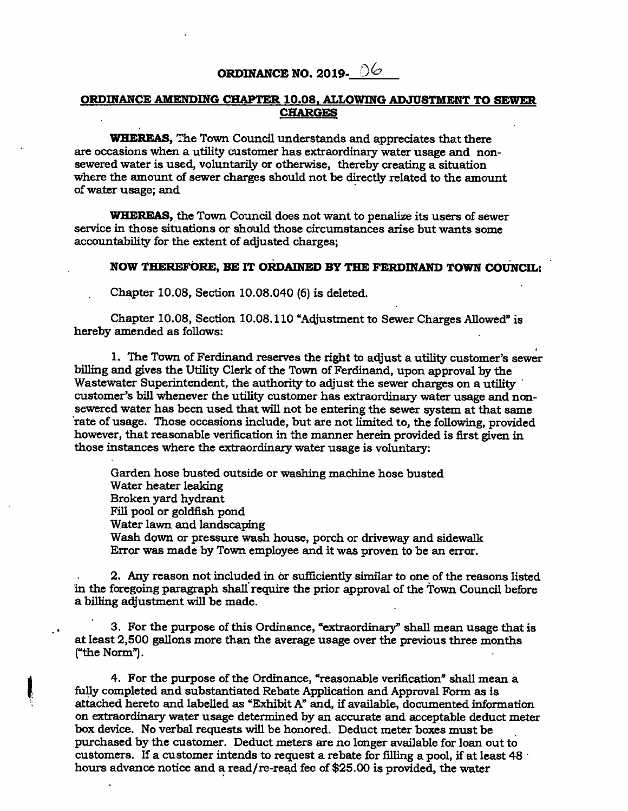## **ORDINANCE NO. 2019-**  $\Diamond\Diamond$

## **ORDINANCE AMENDING CHAPTER 10.08, ALLOWING ADJUSTMENT TO SEWER CHARGES**

**WHEREAS, The Town Council understands and appreciates that there are occasions when a utility customer has extraordinary water usage and non**sewered water is used, voluntarily or otherwise, thereby creating a situation where the amount of sewer charges should not be directly related to the amount **of water usage; and** 

**WHEREAS, the Town Council does not want to penalize its users of sewer service in those situations or should those circumstances arise but wants some accountability for the extent of adjusted charges;** 

## **NOW THEREFORE, BE IT ORDAINED BY THE FERDINAND TOWN COUNCIL:**

**Chapter 10.08, Section 10.08.040 (6) is deleted.** 

**Chapter 10.08, Section 10.08.110 "Adjustment to Sewer Charges Allowed" is hereby amended as follows:** 

**1. The Town of Ferdinand reserves the right to adjust a utility customer's sewer billing and gives the Utility Clerk of the Town of Ferdinand, upon approval by the Wastewater Superintendent, the authority to adjust the sewer charges on a utility customer's bill whenever the utility customer has extraordinary water usage and nonsewered water has been used that will not be entering the sewer system at that same 'rate of usage. Those occasions include, but are not limited to, the following, provided however, that reasonable verification in the manner herein provided is first given in those instances where the extraordinary water usage is voluntary:** 

**Garden hose busted outside or washing machine hose busted Water heater leaking Broken yard hydrant Fill pool or goldfish pond Water lawn and landscaping Wash down or pressure wash house, porch or driveway and sidewalk Error was made by Town employee and it was proven to be an error.** 

**2. Any reason not included in or sufficiently similar to one of the reasons listed in the foregoing paragraph shall require the prior approval of the Town Council before a billing adjustment will be made.** 

**3. For the purpose of this Ordinance, "extraordinary" shall mean usage that is at least 2,500 gallons more than the average usage over the previous three months (the Norm").** 

4. For the purpose of the Ordinance, "reasonable verification" shall mean a **fully completed and substantiated Rebate Application and Approval Form as is**  attached hereto and labelled as "Exhibit A" and, if available, documented information **on extraordinary water usage determined by an accurate and acceptable deduct meter box device. No verbal requests will be honored. Deduct meter boxes must be purchased by the customer. Deduct meters are no longer available for loan out to customers. If a customer intends to request a rebate for filling a pool, if at least 48 • hours advance notice and a read/re-read fee of \$25.00 is provided, the water**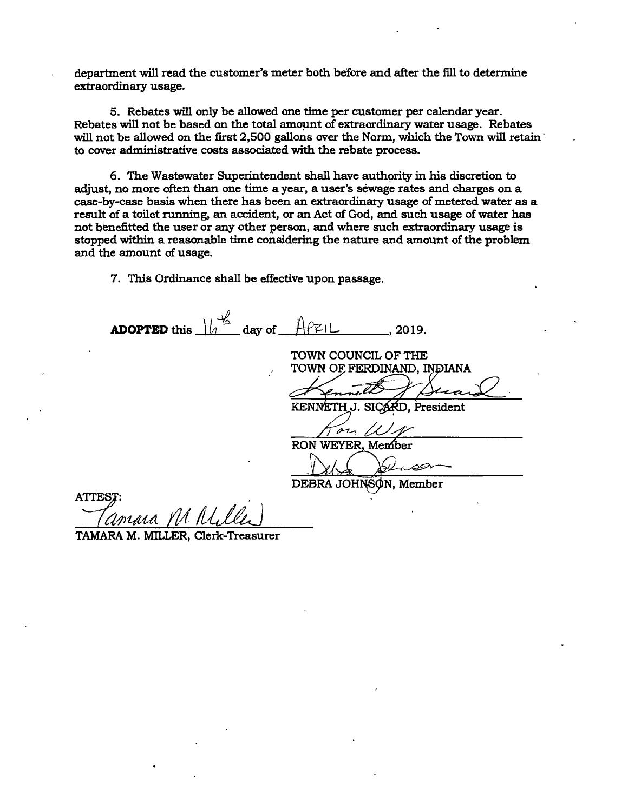**department will read the customer's meter both before and after the fill to determine extraordinary usage.** 

**5. Rebates will only be allowed one time per customer per calendar year. Rebates will not be based on the total amount of extraordinary water usage. Rebates**  will not be allowed on the first 2,500 gallons over the Norm, which the Town will retain <sup>•</sup> **to cover aciministrative costs associated with the rebate process.** 

**6. The Wastewater Superintendent shall have authority in his discretion to adjust, no more often than one time a year, a user's séwage rates and charges on a case-by-case basis when there has been an extraordinary usage of metered water as a result of a toilet running, an accident, or an Act of God, and such usage of water has not benefitted the user or any other person, and where such extraordinary usage is stopped within a reasonable time considering the nature and amount of the problem and the amount of usage.** 

**7. This Ordinance shall be effective upon passage.** 

**TAMARA M. MILLER, Clerk-Treasurer** 

**ADOPTED** this  $\frac{1}{b}$  day of  $\frac{A}{c}$  2019. **TOWN COUNCIL OF THE TOWN OF FERDINAND, INDIANA** KENNETH **President**   $21$ RON **WEYER Menber**  0P DEBRA JOHNSON, Member **ATTE**  IA. IV miasa Y